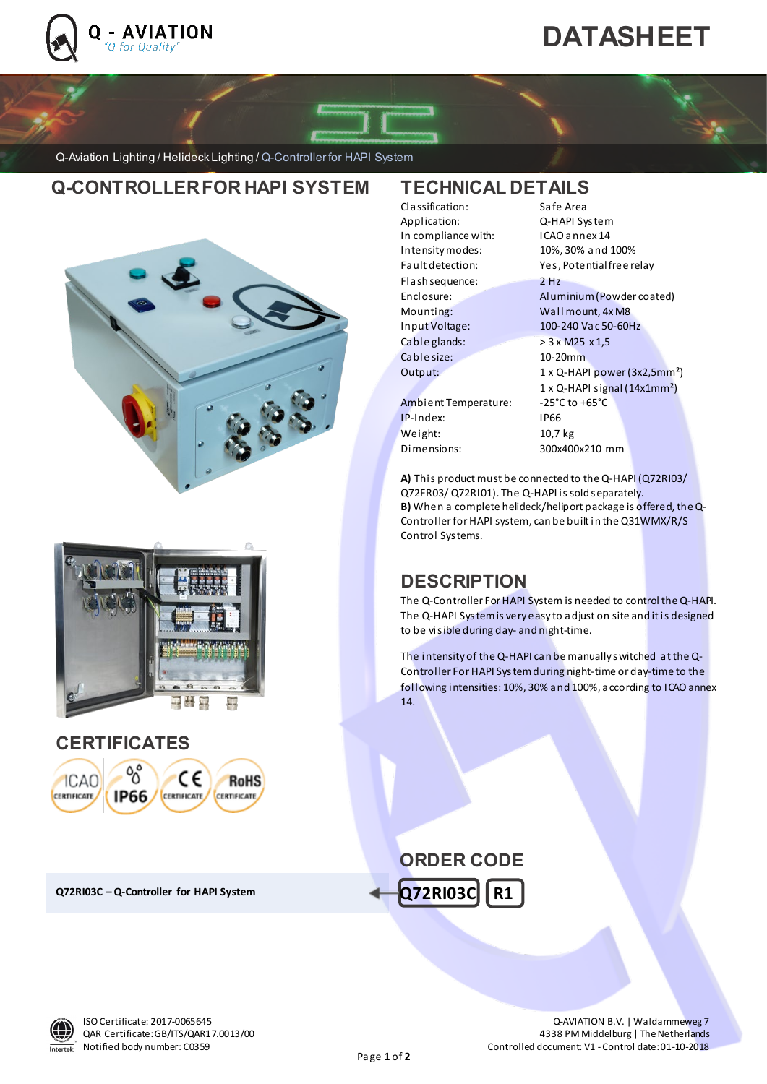

ı

# **DATASHEET**

Q-Aviation Lighting / Helideck Lighting / Q-Controller for HAPI System

## **Q-CONTROLLER FOR HAPI SYSTEM TECHNICAL DETAILS**

ICAO, 100-24 0 Vac, controller for Helipad Lights (6 groups) and Lights (6 groups) and Lights (6 groups) and Lights (6 groups) and Lights (6 groups) and Lights (6 groups) and Lights (6 groups) and Lights (6 groups) and Lig





### **CERTIFICATES**



**Q72RI03C –Q-Controller for HAPI System**

| Classification:      | Safe Area                                        |
|----------------------|--------------------------------------------------|
| Application:         | Q-HAPI System                                    |
| In compliance with:  | ICAO annex 14                                    |
| Intensity modes:     | 10%, 30% and 100%                                |
| Fault detection:     | Yes, Potential free relay                        |
| Flash sequence:      | $2$ Hz                                           |
| Enclosure:           | Aluminium (Powder coated)                        |
| Mounting:            | Wall mount, 4x M8                                |
| Input Voltage:       | 100-240 Vac 50-60Hz                              |
| Cable glands:        | > 3 x M25 x 1,5                                  |
| Cable size:          | 10-20mm                                          |
| Output:              | $1 \times Q$ -HAPI power (3x2,5mm <sup>2</sup> ) |
|                      | $1 \times Q$ -HAPI signal (14x1mm <sup>2</sup> ) |
| Ambient Temperature: | -25°C to +65°C                                   |
| IP-Index:            | IP66                                             |
| Weight:              | 10,7 kg                                          |
| Dimensions:          | 300x400x210 mm                                   |
|                      |                                                  |

**A)** This product must be connected to the Q-HAPI (Q72RI03/ Q72FR03/ Q72RI01). The Q-HAPI is sold separately. **B)** When a complete helideck/heliport package is offered, the Q-Controller for HAPI system, can be built in the Q31WMX/R/S Control Systems.

## **DESCRIPTION**

The Q-Controller For HAPI System is needed to control the Q-HAPI. The Q-HAPI System is very easy to adjust on site and it is designed to be visible during day- and night-time.

The intensity of the Q-HAPI can be manually switched at the Q-Controller For HAPI System during night-time or day-time to the following intensities: 10%, 30% and 100%, according to ICAO annex 14.

### **Q72RI03C R1 ORDER CODE**